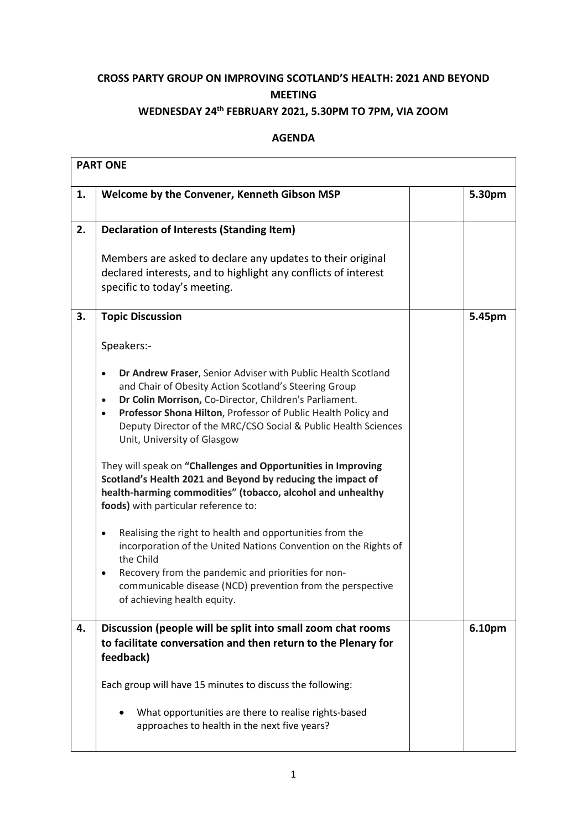## **CROSS PARTY GROUP ON IMPROVING SCOTLAND'S HEALTH: 2021 AND BEYOND MEETING**

## **WEDNESDAY 24 th FEBRUARY 2021, 5.30PM TO 7PM, VIA ZOOM**

## **AGENDA**

| <b>PART ONE</b> |                                                                                                                                                                                                                                                                                                                                                                                                                                                           |  |        |  |
|-----------------|-----------------------------------------------------------------------------------------------------------------------------------------------------------------------------------------------------------------------------------------------------------------------------------------------------------------------------------------------------------------------------------------------------------------------------------------------------------|--|--------|--|
| 1.              | Welcome by the Convener, Kenneth Gibson MSP                                                                                                                                                                                                                                                                                                                                                                                                               |  | 5.30pm |  |
| 2.              | <b>Declaration of Interests (Standing Item)</b>                                                                                                                                                                                                                                                                                                                                                                                                           |  |        |  |
|                 | Members are asked to declare any updates to their original<br>declared interests, and to highlight any conflicts of interest<br>specific to today's meeting.                                                                                                                                                                                                                                                                                              |  |        |  |
| 3.              | <b>Topic Discussion</b>                                                                                                                                                                                                                                                                                                                                                                                                                                   |  | 5.45pm |  |
|                 | Speakers:-                                                                                                                                                                                                                                                                                                                                                                                                                                                |  |        |  |
|                 | Dr Andrew Fraser, Senior Adviser with Public Health Scotland<br>$\bullet$<br>and Chair of Obesity Action Scotland's Steering Group<br>Dr Colin Morrison, Co-Director, Children's Parliament.<br>$\bullet$<br>Professor Shona Hilton, Professor of Public Health Policy and<br>$\bullet$<br>Deputy Director of the MRC/CSO Social & Public Health Sciences<br>Unit, University of Glasgow<br>They will speak on "Challenges and Opportunities in Improving |  |        |  |
|                 | Scotland's Health 2021 and Beyond by reducing the impact of<br>health-harming commodities" (tobacco, alcohol and unhealthy<br>foods) with particular reference to:                                                                                                                                                                                                                                                                                        |  |        |  |
|                 | Realising the right to health and opportunities from the<br>$\bullet$<br>incorporation of the United Nations Convention on the Rights of<br>the Child<br>Recovery from the pandemic and priorities for non-<br>$\bullet$<br>communicable disease (NCD) prevention from the perspective<br>of achieving health equity.                                                                                                                                     |  |        |  |
| 4.              | Discussion (people will be split into small zoom chat rooms<br>to facilitate conversation and then return to the Plenary for<br>feedback)                                                                                                                                                                                                                                                                                                                 |  | 6.10pm |  |
|                 | Each group will have 15 minutes to discuss the following:                                                                                                                                                                                                                                                                                                                                                                                                 |  |        |  |
|                 | What opportunities are there to realise rights-based<br>approaches to health in the next five years?                                                                                                                                                                                                                                                                                                                                                      |  |        |  |